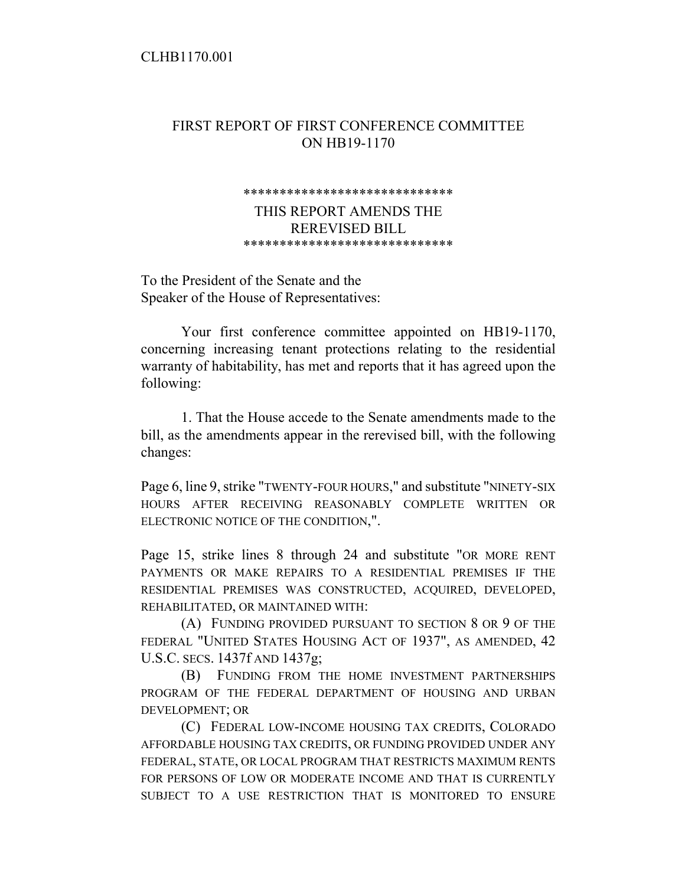## CLHB1170.001

## FIRST REPORT OF FIRST CONFERENCE COMMITTEE ON HB19-1170

## \*\*\*\*\*\*\*\*\*\*\*\*\*\*\*\*\*\*\*\*\*\*\*\*\*\*\*\*\*

## THIS REPORT AMENDS THE REREVISED BILL \*\*\*\*\*\*\*\*\*\*\*\*\*\*\*\*\*\*\*\*\*\*\*\*\*\*\*\*\*

To the President of the Senate and the Speaker of the House of Representatives:

Your first conference committee appointed on HB19-1170, concerning increasing tenant protections relating to the residential warranty of habitability, has met and reports that it has agreed upon the following:

1. That the House accede to the Senate amendments made to the bill, as the amendments appear in the rerevised bill, with the following changes:

Page 6, line 9, strike "TWENTY-FOUR HOURS," and substitute "NINETY-SIX HOURS AFTER RECEIVING REASONABLY COMPLETE WRITTEN OR ELECTRONIC NOTICE OF THE CONDITION,".

Page 15, strike lines 8 through 24 and substitute "OR MORE RENT PAYMENTS OR MAKE REPAIRS TO A RESIDENTIAL PREMISES IF THE RESIDENTIAL PREMISES WAS CONSTRUCTED, ACQUIRED, DEVELOPED, REHABILITATED, OR MAINTAINED WITH:

(A) FUNDING PROVIDED PURSUANT TO SECTION 8 OR 9 OF THE FEDERAL "UNITED STATES HOUSING ACT OF 1937", AS AMENDED, 42 U.S.C. SECS. 1437f AND 1437g;

(B) FUNDING FROM THE HOME INVESTMENT PARTNERSHIPS PROGRAM OF THE FEDERAL DEPARTMENT OF HOUSING AND URBAN DEVELOPMENT; OR

(C) FEDERAL LOW-INCOME HOUSING TAX CREDITS, COLORADO AFFORDABLE HOUSING TAX CREDITS, OR FUNDING PROVIDED UNDER ANY FEDERAL, STATE, OR LOCAL PROGRAM THAT RESTRICTS MAXIMUM RENTS FOR PERSONS OF LOW OR MODERATE INCOME AND THAT IS CURRENTLY SUBJECT TO A USE RESTRICTION THAT IS MONITORED TO ENSURE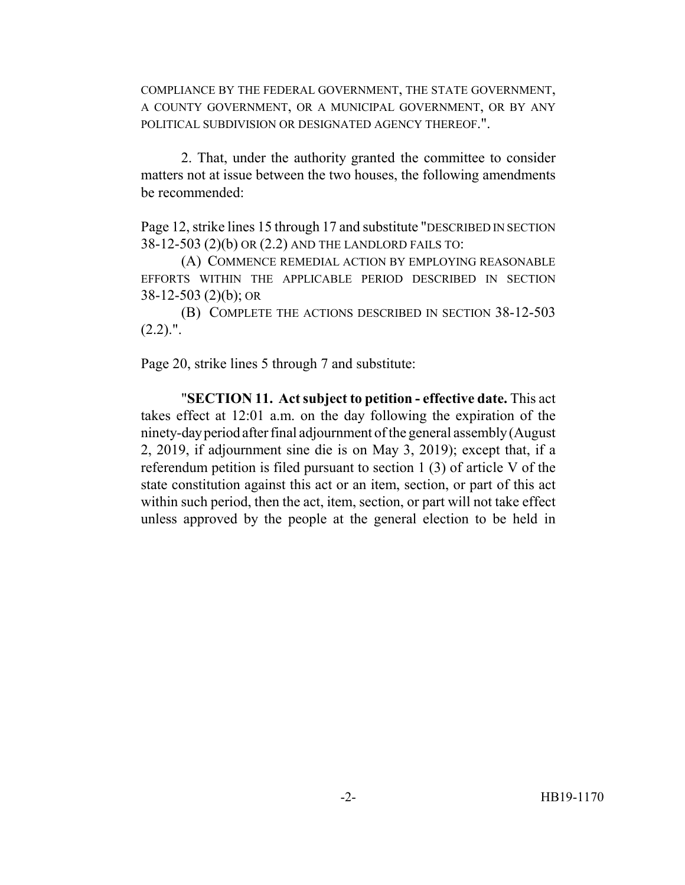COMPLIANCE BY THE FEDERAL GOVERNMENT, THE STATE GOVERNMENT, A COUNTY GOVERNMENT, OR A MUNICIPAL GOVERNMENT, OR BY ANY POLITICAL SUBDIVISION OR DESIGNATED AGENCY THEREOF.".

2. That, under the authority granted the committee to consider matters not at issue between the two houses, the following amendments be recommended:

Page 12, strike lines 15 through 17 and substitute "DESCRIBED IN SECTION 38-12-503 (2)(b) OR (2.2) AND THE LANDLORD FAILS TO:

(A) COMMENCE REMEDIAL ACTION BY EMPLOYING REASONABLE EFFORTS WITHIN THE APPLICABLE PERIOD DESCRIBED IN SECTION 38-12-503 (2)(b); OR

(B) COMPLETE THE ACTIONS DESCRIBED IN SECTION 38-12-503  $(2.2)$ .".

Page 20, strike lines 5 through 7 and substitute:

"**SECTION 11. Act subject to petition - effective date.** This act takes effect at 12:01 a.m. on the day following the expiration of the ninety-day period after final adjournment of the general assembly (August 2, 2019, if adjournment sine die is on May 3, 2019); except that, if a referendum petition is filed pursuant to section 1 (3) of article V of the state constitution against this act or an item, section, or part of this act within such period, then the act, item, section, or part will not take effect unless approved by the people at the general election to be held in